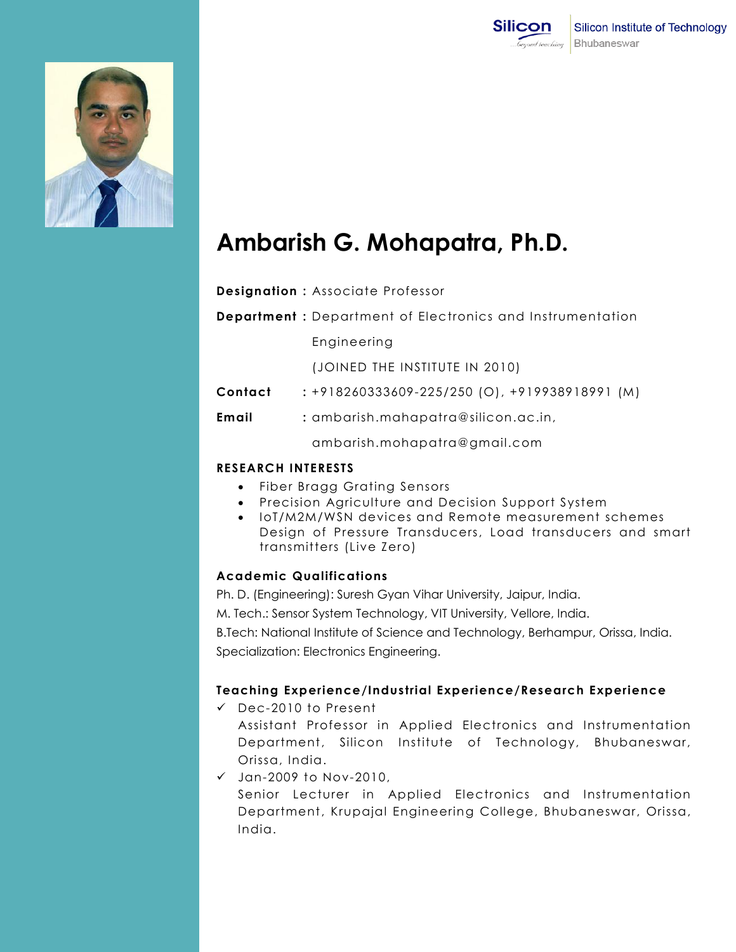



# **Ambarish G. Mohapatra, Ph.D.**

**Department :** Department of Electronics and Instrumentation

Engineering

(JOINED THE INSTITUTE IN 2010)

- **Contact :** +918260333609-225/250 (O), +919938918991 (M)
- **Email :** ambarish.mahapatra@silicon.ac.in,

ambarish.mohapatra@gmail.com

## **RESEARCH INTERESTS**

- Fiber Bragg Grating Sensors
- Precision Agriculture and Decision Support System
- IoT/M2M/WSN devices and Remote measurement schemes Design of Pressure Transducers, Load transducers and smart transmitters (Live Zero)

# **Academic Qualifications**

Ph. D. (Engineering): Suresh Gyan Vihar University, Jaipur, India.

M. Tech.: Sensor System Technology, VIT University, Vellore, India.

B.Tech: National Institute of Science and Technology, Berhampur, Orissa, India. Specialization: Electronics Engineering.

## **Teaching Experience/Industrial Experience/Research Experience**

- Dec-2010 to Present Assistant Professor in Applied Electronics and Instrumentation Department, Silicon Institute of Technology, Bhubaneswar, Orissa, India.
- $\checkmark$  Jan-2009 to Nov-2010, Senior Lecturer in Applied Electronics and Instrumentation Department, Krupajal Engineering College, Bhubaneswar, Orissa, India.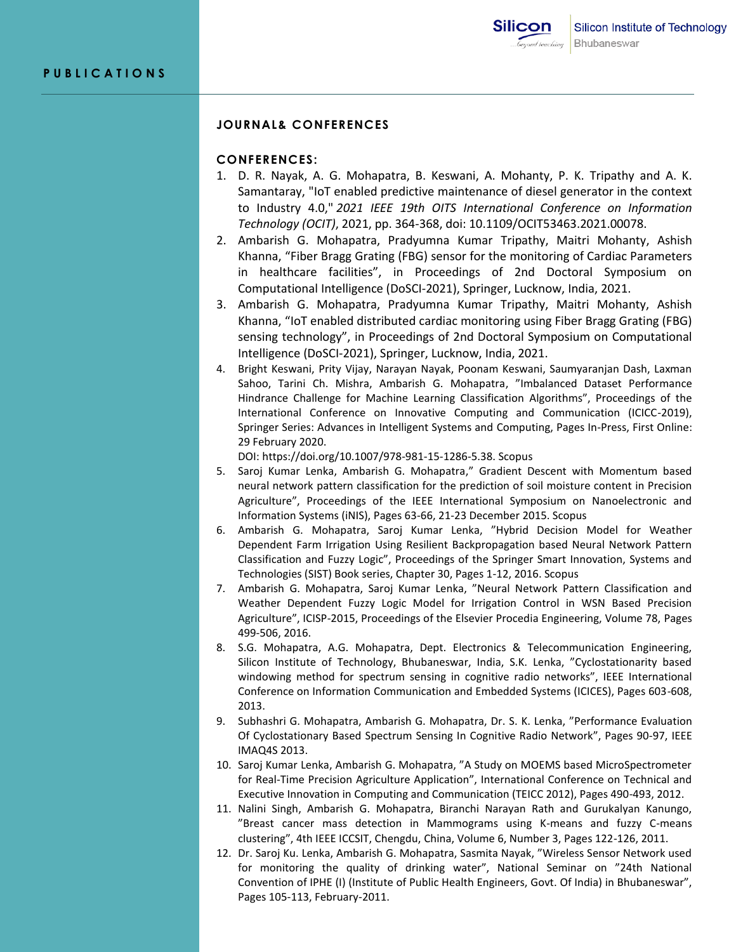#### **JOURNAL& CONFERENCES**

#### **CONFERENCES:**

- 1. D. R. Nayak, A. G. Mohapatra, B. Keswani, A. Mohanty, P. K. Tripathy and A. K. Samantaray, "IoT enabled predictive maintenance of diesel generator in the context to Industry 4.0," *2021 IEEE 19th OITS International Conference on Information Technology (OCIT)*, 2021, pp. 364-368, doi: 10.1109/OCIT53463.2021.00078.
- 2. Ambarish G. Mohapatra, Pradyumna Kumar Tripathy, Maitri Mohanty, Ashish Khanna, "Fiber Bragg Grating (FBG) sensor for the monitoring of Cardiac Parameters in healthcare facilities", in Proceedings of 2nd Doctoral Symposium on Computational Intelligence (DoSCI-2021), Springer, Lucknow, India, 2021.
- 3. Ambarish G. Mohapatra, Pradyumna Kumar Tripathy, Maitri Mohanty, Ashish Khanna, "IoT enabled distributed cardiac monitoring using Fiber Bragg Grating (FBG) sensing technology", in Proceedings of 2nd Doctoral Symposium on Computational Intelligence (DoSCI-2021), Springer, Lucknow, India, 2021.
- 4. Bright Keswani, Prity Vijay, Narayan Nayak, Poonam Keswani, Saumyaranjan Dash, Laxman Sahoo, Tarini Ch. Mishra, Ambarish G. Mohapatra, "Imbalanced Dataset Performance Hindrance Challenge for Machine Learning Classification Algorithms", Proceedings of the International Conference on Innovative Computing and Communication (ICICC-2019), Springer Series: Advances in Intelligent Systems and Computing, Pages In-Press, First Online: 29 February 2020.

DOI: https://doi.org/10.1007/978-981-15-1286-5.38. Scopus

- 5. Saroj Kumar Lenka, Ambarish G. Mohapatra," Gradient Descent with Momentum based neural network pattern classification for the prediction of soil moisture content in Precision Agriculture", Proceedings of the IEEE International Symposium on Nanoelectronic and Information Systems (iNIS), Pages 63-66, 21-23 December 2015. Scopus
- 6. Ambarish G. Mohapatra, Saroj Kumar Lenka, "Hybrid Decision Model for Weather Dependent Farm Irrigation Using Resilient Backpropagation based Neural Network Pattern Classification and Fuzzy Logic", Proceedings of the Springer Smart Innovation, Systems and Technologies (SIST) Book series, Chapter 30, Pages 1-12, 2016. Scopus
- 7. Ambarish G. Mohapatra, Saroj Kumar Lenka, "Neural Network Pattern Classification and Weather Dependent Fuzzy Logic Model for Irrigation Control in WSN Based Precision Agriculture", ICISP-2015, Proceedings of the Elsevier Procedia Engineering, Volume 78, Pages 499-506, 2016.
- 8. S.G. Mohapatra, A.G. Mohapatra, Dept. Electronics & Telecommunication Engineering, Silicon Institute of Technology, Bhubaneswar, India, S.K. Lenka, "Cyclostationarity based windowing method for spectrum sensing in cognitive radio networks", IEEE International Conference on Information Communication and Embedded Systems (ICICES), Pages 603-608, 2013.
- 9. Subhashri G. Mohapatra, Ambarish G. Mohapatra, Dr. S. K. Lenka, "Performance Evaluation Of Cyclostationary Based Spectrum Sensing In Cognitive Radio Network", Pages 90-97, IEEE IMAQ4S 2013.
- 10. Saroj Kumar Lenka, Ambarish G. Mohapatra, "A Study on MOEMS based MicroSpectrometer for Real-Time Precision Agriculture Application", International Conference on Technical and Executive Innovation in Computing and Communication (TEICC 2012), Pages 490-493, 2012.
- 11. Nalini Singh, Ambarish G. Mohapatra, Biranchi Narayan Rath and Gurukalyan Kanungo, "Breast cancer mass detection in Mammograms using K-means and fuzzy C-means clustering", 4th IEEE ICCSIT, Chengdu, China, Volume 6, Number 3, Pages 122-126, 2011.
- 12. Dr. Saroj Ku. Lenka, Ambarish G. Mohapatra, Sasmita Nayak, "Wireless Sensor Network used for monitoring the quality of drinking water", National Seminar on "24th National Convention of IPHE (I) (Institute of Public Health Engineers, Govt. Of India) in Bhubaneswar", Pages 105-113, February-2011.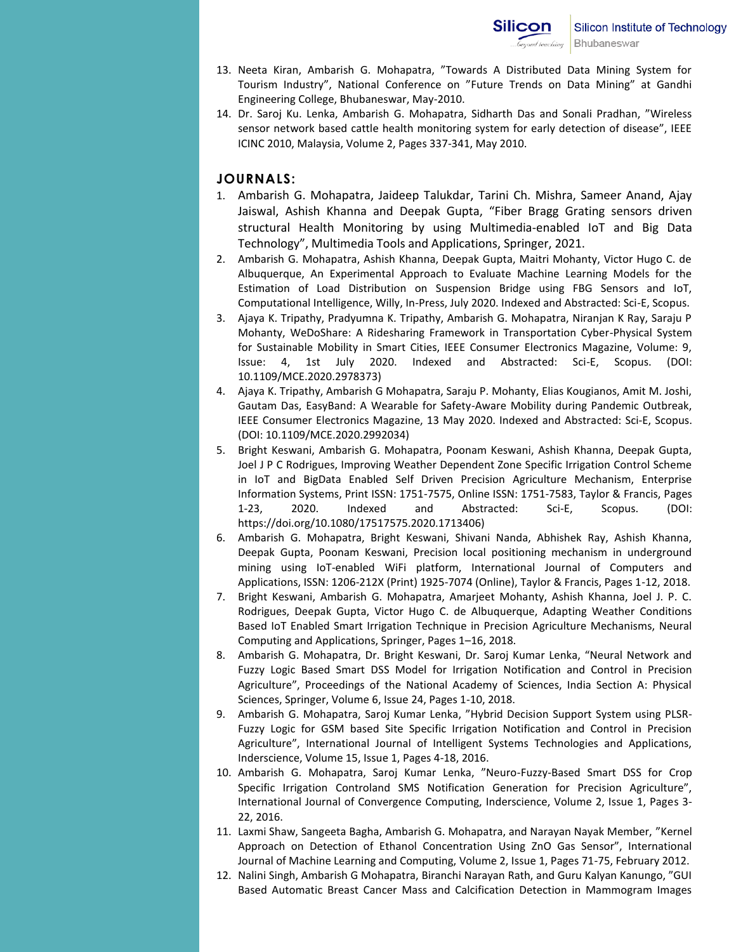- 13. Neeta Kiran, Ambarish G. Mohapatra, "Towards A Distributed Data Mining System for Tourism Industry", National Conference on "Future Trends on Data Mining" at Gandhi Engineering College, Bhubaneswar, May-2010.
- 14. Dr. Saroj Ku. Lenka, Ambarish G. Mohapatra, Sidharth Das and Sonali Pradhan, "Wireless sensor network based cattle health monitoring system for early detection of disease", IEEE ICINC 2010, Malaysia, Volume 2, Pages 337-341, May 2010.

## **JOURNALS:**

- 1. Ambarish G. Mohapatra, Jaideep Talukdar, Tarini Ch. Mishra, Sameer Anand, Ajay Jaiswal, Ashish Khanna and Deepak Gupta, "Fiber Bragg Grating sensors driven structural Health Monitoring by using Multimedia-enabled IoT and Big Data Technology", Multimedia Tools and Applications, Springer, 2021.
- 2. Ambarish G. Mohapatra, Ashish Khanna, Deepak Gupta, Maitri Mohanty, Victor Hugo C. de Albuquerque, An Experimental Approach to Evaluate Machine Learning Models for the Estimation of Load Distribution on Suspension Bridge using FBG Sensors and IoT, Computational Intelligence, Willy, In-Press, July 2020. Indexed and Abstracted: Sci-E, Scopus.
- 3. Ajaya K. Tripathy, Pradyumna K. Tripathy, Ambarish G. Mohapatra, Niranjan K Ray, Saraju P Mohanty, WeDoShare: A Ridesharing Framework in Transportation Cyber-Physical System for Sustainable Mobility in Smart Cities, IEEE Consumer Electronics Magazine, Volume: 9, Issue: 4, 1st July 2020. Indexed and Abstracted: Sci-E, Scopus. (DOI: 10.1109/MCE.2020.2978373)
- 4. Ajaya K. Tripathy, Ambarish G Mohapatra, Saraju P. Mohanty, Elias Kougianos, Amit M. Joshi, Gautam Das, EasyBand: A Wearable for Safety-Aware Mobility during Pandemic Outbreak, IEEE Consumer Electronics Magazine, 13 May 2020. Indexed and Abstracted: Sci-E, Scopus. (DOI: 10.1109/MCE.2020.2992034)
- 5. Bright Keswani, Ambarish G. Mohapatra, Poonam Keswani, Ashish Khanna, Deepak Gupta, Joel J P C Rodrigues, Improving Weather Dependent Zone Specific Irrigation Control Scheme in IoT and BigData Enabled Self Driven Precision Agriculture Mechanism, Enterprise Information Systems, Print ISSN: 1751-7575, Online ISSN: 1751-7583, Taylor & Francis, Pages 1-23, 2020. Indexed and Abstracted: Sci-E, Scopus. (DOI: https://doi.org/10.1080/17517575.2020.1713406)
- 6. Ambarish G. Mohapatra, Bright Keswani, Shivani Nanda, Abhishek Ray, Ashish Khanna, Deepak Gupta, Poonam Keswani, Precision local positioning mechanism in underground mining using IoT-enabled WiFi platform, International Journal of Computers and Applications, ISSN: 1206-212X (Print) 1925-7074 (Online), Taylor & Francis, Pages 1-12, 2018.
- 7. Bright Keswani, Ambarish G. Mohapatra, Amarjeet Mohanty, Ashish Khanna, Joel J. P. C. Rodrigues, Deepak Gupta, Victor Hugo C. de Albuquerque, Adapting Weather Conditions Based IoT Enabled Smart Irrigation Technique in Precision Agriculture Mechanisms, Neural Computing and Applications, Springer, Pages 1–16, 2018.
- 8. Ambarish G. Mohapatra, Dr. Bright Keswani, Dr. Saroj Kumar Lenka, "Neural Network and Fuzzy Logic Based Smart DSS Model for Irrigation Notification and Control in Precision Agriculture", Proceedings of the National Academy of Sciences, India Section A: Physical Sciences, Springer, Volume 6, Issue 24, Pages 1-10, 2018.
- 9. Ambarish G. Mohapatra, Saroj Kumar Lenka, "Hybrid Decision Support System using PLSR-Fuzzy Logic for GSM based Site Specific Irrigation Notification and Control in Precision Agriculture", International Journal of Intelligent Systems Technologies and Applications, Inderscience, Volume 15, Issue 1, Pages 4-18, 2016.
- 10. Ambarish G. Mohapatra, Saroj Kumar Lenka, "Neuro-Fuzzy-Based Smart DSS for Crop Specific Irrigation Controland SMS Notification Generation for Precision Agriculture", International Journal of Convergence Computing, Inderscience, Volume 2, Issue 1, Pages 3- 22, 2016.
- 11. Laxmi Shaw, Sangeeta Bagha, Ambarish G. Mohapatra, and Narayan Nayak Member, "Kernel Approach on Detection of Ethanol Concentration Using ZnO Gas Sensor", International Journal of Machine Learning and Computing, Volume 2, Issue 1, Pages 71-75, February 2012.
- 12. Nalini Singh, Ambarish G Mohapatra, Biranchi Narayan Rath, and Guru Kalyan Kanungo, "GUI Based Automatic Breast Cancer Mass and Calcification Detection in Mammogram Images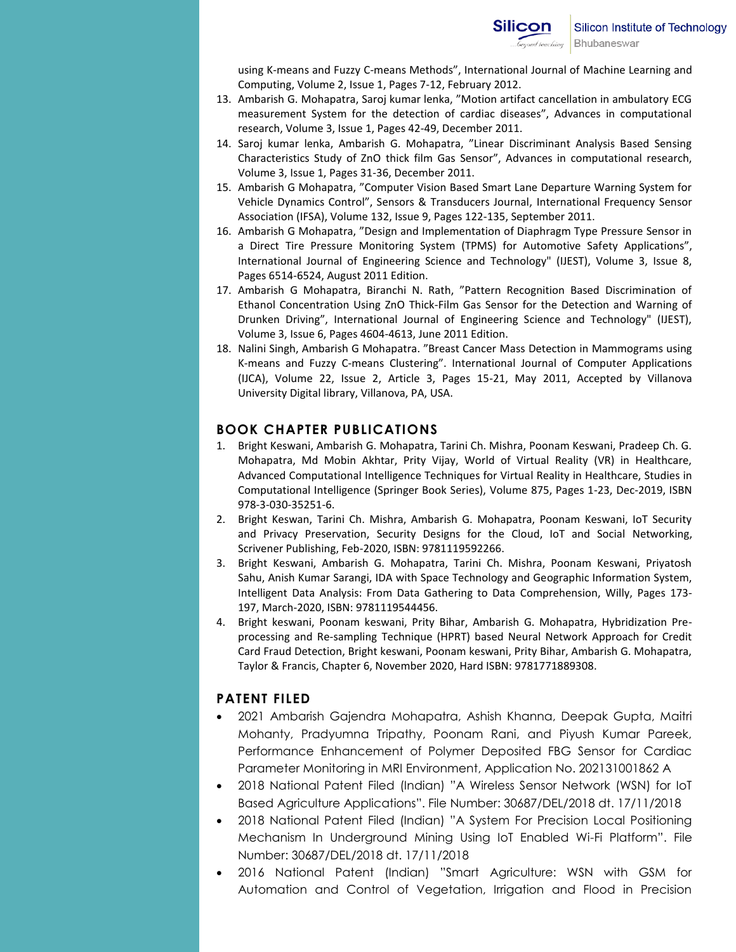using K-means and Fuzzy C-means Methods", International Journal of Machine Learning and Computing, Volume 2, Issue 1, Pages 7-12, February 2012.

- 13. Ambarish G. Mohapatra, Saroj kumar lenka, "Motion artifact cancellation in ambulatory ECG measurement System for the detection of cardiac diseases", Advances in computational research, Volume 3, Issue 1, Pages 42-49, December 2011.
- 14. Saroj kumar lenka, Ambarish G. Mohapatra, "Linear Discriminant Analysis Based Sensing Characteristics Study of ZnO thick film Gas Sensor", Advances in computational research, Volume 3, Issue 1, Pages 31-36, December 2011.
- 15. Ambarish G Mohapatra, "Computer Vision Based Smart Lane Departure Warning System for Vehicle Dynamics Control", Sensors & Transducers Journal, International Frequency Sensor Association (IFSA), Volume 132, Issue 9, Pages 122-135, September 2011.
- 16. Ambarish G Mohapatra, "Design and Implementation of Diaphragm Type Pressure Sensor in a Direct Tire Pressure Monitoring System (TPMS) for Automotive Safety Applications", International Journal of Engineering Science and Technology" (IJEST), Volume 3, Issue 8, Pages 6514-6524, August 2011 Edition.
- 17. Ambarish G Mohapatra, Biranchi N. Rath, "Pattern Recognition Based Discrimination of Ethanol Concentration Using ZnO Thick-Film Gas Sensor for the Detection and Warning of Drunken Driving", International Journal of Engineering Science and Technology" (IJEST), Volume 3, Issue 6, Pages 4604-4613, June 2011 Edition.
- 18. Nalini Singh, Ambarish G Mohapatra. "Breast Cancer Mass Detection in Mammograms using K-means and Fuzzy C-means Clustering". International Journal of Computer Applications (IJCA), Volume 22, Issue 2, Article 3, Pages 15-21, May 2011, Accepted by Villanova University Digital library, Villanova, PA, USA.

# **BOOK CHAPTER PUBLICATIONS**

- 1. Bright Keswani, Ambarish G. Mohapatra, Tarini Ch. Mishra, Poonam Keswani, Pradeep Ch. G. Mohapatra, Md Mobin Akhtar, Prity Vijay, World of Virtual Reality (VR) in Healthcare, Advanced Computational Intelligence Techniques for Virtual Reality in Healthcare, Studies in Computational Intelligence (Springer Book Series), Volume 875, Pages 1-23, Dec-2019, ISBN 978-3-030-35251-6.
- 2. Bright Keswan, Tarini Ch. Mishra, Ambarish G. Mohapatra, Poonam Keswani, IoT Security and Privacy Preservation, Security Designs for the Cloud, IoT and Social Networking, Scrivener Publishing, Feb-2020, ISBN: 9781119592266.
- 3. Bright Keswani, Ambarish G. Mohapatra, Tarini Ch. Mishra, Poonam Keswani, Priyatosh Sahu, Anish Kumar Sarangi, IDA with Space Technology and Geographic Information System, Intelligent Data Analysis: From Data Gathering to Data Comprehension, Willy, Pages 173- 197, March-2020, ISBN: 9781119544456.
- 4. Bright keswani, Poonam keswani, Prity Bihar, Ambarish G. Mohapatra, Hybridization Preprocessing and Re-sampling Technique (HPRT) based Neural Network Approach for Credit Card Fraud Detection, Bright keswani, Poonam keswani, Prity Bihar, Ambarish G. Mohapatra, Taylor & Francis, Chapter 6, November 2020, Hard ISBN: 9781771889308.

# **PATENT FILED**

- 2021 Ambarish Gajendra Mohapatra, Ashish Khanna, Deepak Gupta, Maitri Mohanty, Pradyumna Tripathy, Poonam Rani, and Piyush Kumar Pareek, Performance Enhancement of Polymer Deposited FBG Sensor for Cardiac Parameter Monitoring in MRI Environment, Application No. 202131001862 A
- 2018 National Patent Filed (Indian) "A Wireless Sensor Network (WSN) for IoT Based Agriculture Applications". File Number: 30687/DEL/2018 dt. 17/11/2018
- 2018 National Patent Filed (Indian) "A System For Precision Local Positioning Mechanism In Underground Mining Using IoT Enabled Wi-Fi Platform". File Number: 30687/DEL/2018 dt. 17/11/2018
- 2016 National Patent (Indian) "Smart Agriculture: WSN with GSM for Automation and Control of Vegetation, Irrigation and Flood in Precision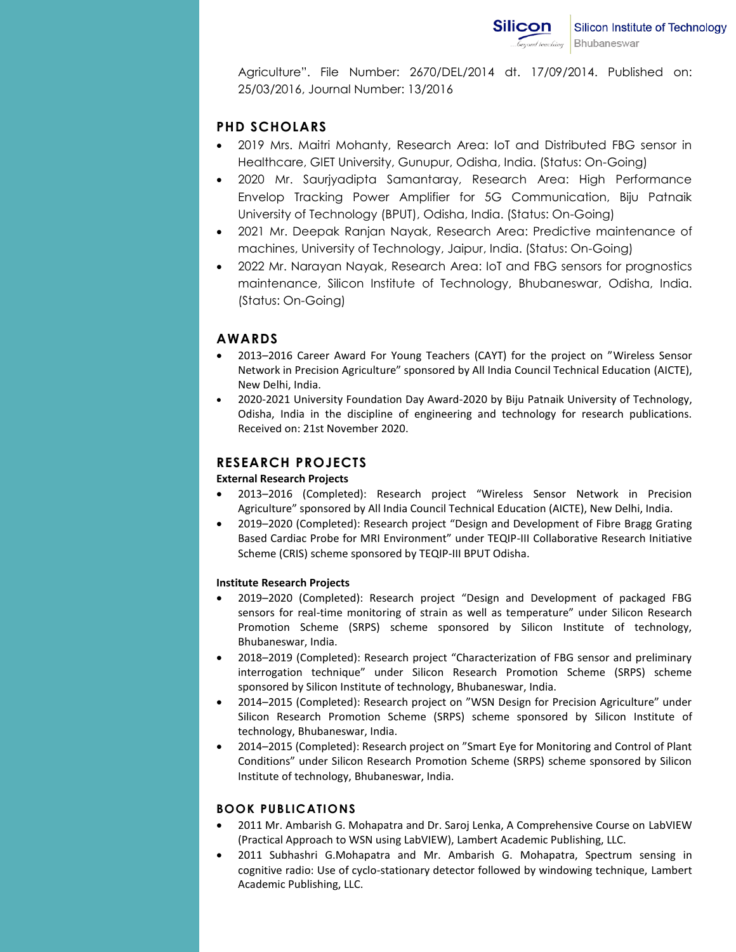Agriculture". File Number: 2670/DEL/2014 dt. 17/09/2014. Published on: 25/03/2016, Journal Number: 13/2016

# **PHD SCHOLARS**

- 2019 Mrs. Maitri Mohanty, Research Area: IoT and Distributed FBG sensor in Healthcare, GIET University, Gunupur, Odisha, India. (Status: On-Going)
- 2020 Mr. Saurjyadipta Samantaray, Research Area: High Performance Envelop Tracking Power Amplifier for 5G Communication, Biju Patnaik University of Technology (BPUT), Odisha, India. (Status: On-Going)
- 2021 Mr. Deepak Ranjan Nayak, Research Area: Predictive maintenance of machines, University of Technology, Jaipur, India. (Status: On-Going)
- 2022 Mr. Narayan Nayak, Research Area: IoT and FBG sensors for prognostics maintenance, Silicon Institute of Technology, Bhubaneswar, Odisha, India. (Status: On-Going)

# **AWARDS**

- 2013–2016 Career Award For Young Teachers (CAYT) for the project on "Wireless Sensor Network in Precision Agriculture" sponsored by All India Council Technical Education (AICTE), New Delhi, India.
- 2020-2021 University Foundation Day Award-2020 by Biju Patnaik University of Technology, Odisha, India in the discipline of engineering and technology for research publications. Received on: 21st November 2020.

# **RESEARCH PROJECTS**

## **External Research Projects**

- 2013–2016 (Completed): Research project "Wireless Sensor Network in Precision Agriculture" sponsored by All India Council Technical Education (AICTE), New Delhi, India.
- 2019–2020 (Completed): Research project "Design and Development of Fibre Bragg Grating Based Cardiac Probe for MRI Environment" under TEQIP-III Collaborative Research Initiative Scheme (CRIS) scheme sponsored by TEQIP-III BPUT Odisha.

## **Institute Research Projects**

- 2019–2020 (Completed): Research project "Design and Development of packaged FBG sensors for real-time monitoring of strain as well as temperature" under Silicon Research Promotion Scheme (SRPS) scheme sponsored by Silicon Institute of technology, Bhubaneswar, India.
- 2018–2019 (Completed): Research project "Characterization of FBG sensor and preliminary interrogation technique" under Silicon Research Promotion Scheme (SRPS) scheme sponsored by Silicon Institute of technology, Bhubaneswar, India.
- 2014–2015 (Completed): Research project on "WSN Design for Precision Agriculture" under Silicon Research Promotion Scheme (SRPS) scheme sponsored by Silicon Institute of technology, Bhubaneswar, India.
- 2014–2015 (Completed): Research project on "Smart Eye for Monitoring and Control of Plant Conditions" under Silicon Research Promotion Scheme (SRPS) scheme sponsored by Silicon Institute of technology, Bhubaneswar, India.

# **BOOK PUBLICATIONS**

- 2011 Mr. Ambarish G. Mohapatra and Dr. Saroj Lenka, A Comprehensive Course on LabVIEW (Practical Approach to WSN using LabVIEW), Lambert Academic Publishing, LLC.
- 2011 Subhashri G.Mohapatra and Mr. Ambarish G. Mohapatra, Spectrum sensing in cognitive radio: Use of cyclo-stationary detector followed by windowing technique, Lambert Academic Publishing, LLC.